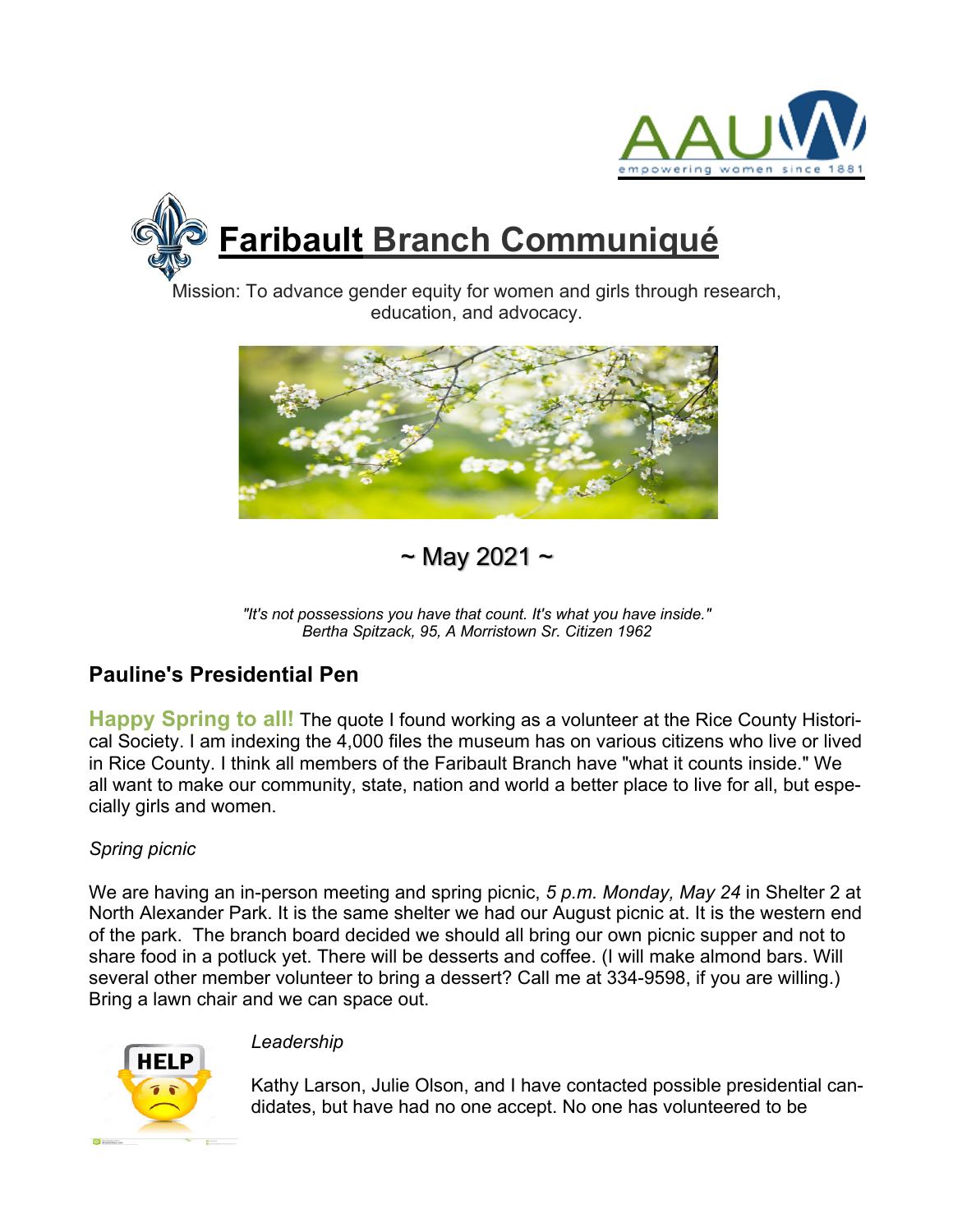



Mission: To advance gender equity for women and girls through research, education, and advocacy.



 $\sim$  May 2021  $\sim$ 

# **Pauline's Presidential Pen**

**Happy Spring to all!** The quote I found working as a volunteer at the Rice County Historical Society. I am indexing the 4,000 files the museum has on various citizens who live or lived in Rice County. I think all members of the Faribault Branch have "what it counts inside." We all want to make our community, state, nation and world a better place to live for all, but especially girls and women.

### *Spring picnic*

We are having an in-person meeting and spring picnic, *5 p.m. Monday, May 24* in Shelter 2 at North Alexander Park. It is the same shelter we had our August picnic at. It is the western end of the park. The branch board decided we should all bring our own picnic supper and not to share food in a potluck yet. There will be desserts and coffee. (I will make almond bars. Will several other member volunteer to bring a dessert? Call me at 334-9598, if you are willing.) Bring a lawn chair and we can space out.



### *Leadership*

Kathy Larson, Julie Olson, and I have contacted possible presidential candidates, but have had no one accept. No one has volunteered to be

*<sup>&</sup>quot;It's not possessions you have that count. It's what you have inside." Bertha Spitzack, 95, A Morristown Sr. Citizen 1962*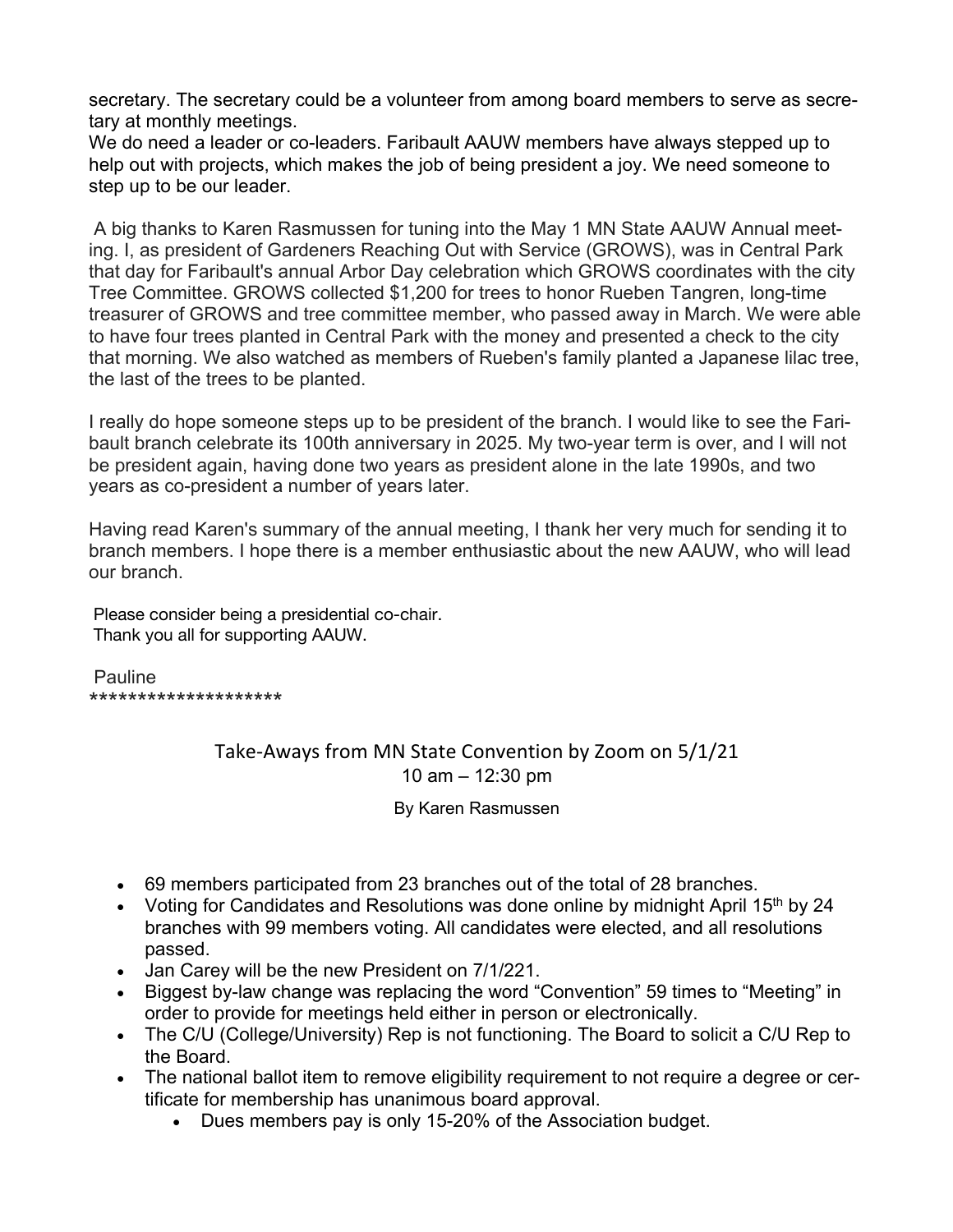secretary. The secretary could be a volunteer from among board members to serve as secretary at monthly meetings.

We do need a leader or co-leaders. Faribault AAUW members have always stepped up to help out with projects, which makes the job of being president a joy. We need someone to step up to be our leader.

A big thanks to Karen Rasmussen for tuning into the May 1 MN State AAUW Annual meeting. I, as president of Gardeners Reaching Out with Service (GROWS), was in Central Park that day for Faribault's annual Arbor Day celebration which GROWS coordinates with the city Tree Committee. GROWS collected \$1,200 for trees to honor Rueben Tangren, long-time treasurer of GROWS and tree committee member, who passed away in March. We were able to have four trees planted in Central Park with the money and presented a check to the city that morning. We also watched as members of Rueben's family planted a Japanese lilac tree, the last of the trees to be planted.

I really do hope someone steps up to be president of the branch. I would like to see the Faribault branch celebrate its 100th anniversary in 2025. My two-year term is over, and I will not be president again, having done two years as president alone in the late 1990s, and two years as co-president a number of years later.

Having read Karen's summary of the annual meeting, I thank her very much for sending it to branch members. I hope there is a member enthusiastic about the new AAUW, who will lead our branch.

Please consider being a presidential co-chair. Thank you all for supporting AAUW.

**Pauline** \*\*\*\*\*\*\*\*\*\*\*\*\*\*\*\*\*\*\*\*

> Take-Aways from MN State Convention by Zoom on 5/1/21 10 am – 12:30 pm

> > By Karen Rasmussen

- 69 members participated from 23 branches out of the total of 28 branches.
- Voting for Candidates and Resolutions was done online by midnight April 15<sup>th</sup> by 24 branches with 99 members voting. All candidates were elected, and all resolutions passed.
- Jan Carey will be the new President on 7/1/221.
- Biggest by-law change was replacing the word "Convention" 59 times to "Meeting" in order to provide for meetings held either in person or electronically.
- The C/U (College/University) Rep is not functioning. The Board to solicit a C/U Rep to the Board.
- The national ballot item to remove eligibility requirement to not require a degree or certificate for membership has unanimous board approval.
	- Dues members pay is only 15-20% of the Association budget.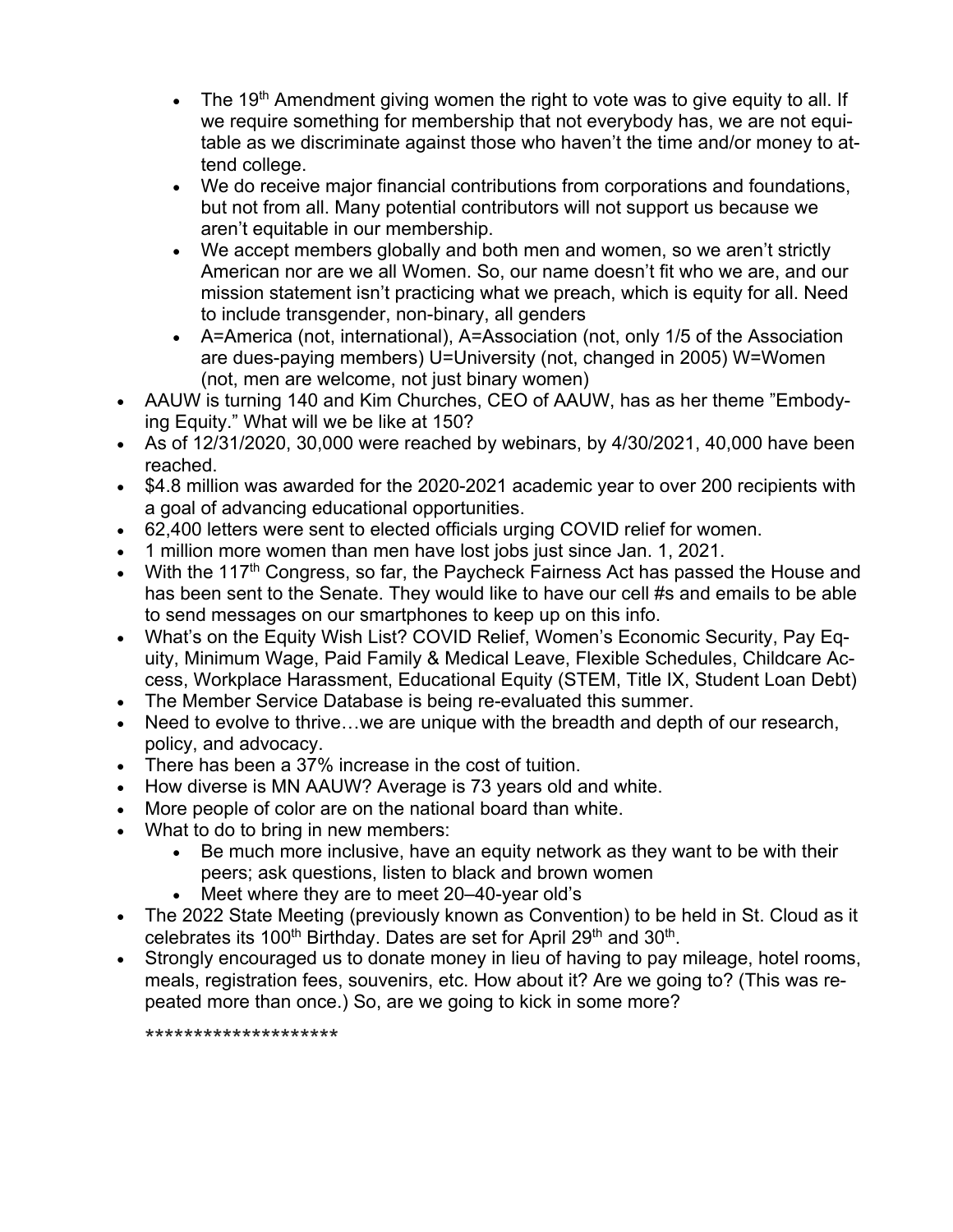- The 19<sup>th</sup> Amendment giving women the right to vote was to give equity to all. If we require something for membership that not everybody has, we are not equitable as we discriminate against those who haven't the time and/or money to attend college.
- We do receive major financial contributions from corporations and foundations, but not from all. Many potential contributors will not support us because we aren't equitable in our membership.
- We accept members globally and both men and women, so we aren't strictly American nor are we all Women. So, our name doesn't fit who we are, and our mission statement isn't practicing what we preach, which is equity for all. Need to include transgender, non-binary, all genders
- A=America (not, international), A=Association (not, only 1/5 of the Association are dues-paying members) U=University (not, changed in 2005) W=Women (not, men are welcome, not just binary women)
- AAUW is turning 140 and Kim Churches, CEO of AAUW, has as her theme "Embodying Equity." What will we be like at 150?
- As of 12/31/2020, 30,000 were reached by webinars, by 4/30/2021, 40,000 have been reached.
- \$4.8 million was awarded for the 2020-2021 academic year to over 200 recipients with a goal of advancing educational opportunities.
- 62,400 letters were sent to elected officials urging COVID relief for women.
- 1 million more women than men have lost jobs just since Jan. 1, 2021.
- With the 117<sup>th</sup> Congress, so far, the Paycheck Fairness Act has passed the House and has been sent to the Senate. They would like to have our cell #s and emails to be able to send messages on our smartphones to keep up on this info.
- What's on the Equity Wish List? COVID Relief, Women's Economic Security, Pay Equity, Minimum Wage, Paid Family & Medical Leave, Flexible Schedules, Childcare Access, Workplace Harassment, Educational Equity (STEM, Title IX, Student Loan Debt)
- The Member Service Database is being re-evaluated this summer.
- Need to evolve to thrive...we are unique with the breadth and depth of our research, policy, and advocacy.
- There has been a 37% increase in the cost of tuition.
- How diverse is MN AAUW? Average is 73 years old and white.
- More people of color are on the national board than white.
- What to do to bring in new members:
	- Be much more inclusive, have an equity network as they want to be with their peers; ask questions, listen to black and brown women
	- Meet where they are to meet 20–40-year old's
- The 2022 State Meeting (previously known as Convention) to be held in St. Cloud as it celebrates its 100<sup>th</sup> Birthday. Dates are set for April 29<sup>th</sup> and 30<sup>th</sup>.
- Strongly encouraged us to donate money in lieu of having to pay mileage, hotel rooms, meals, registration fees, souvenirs, etc. How about it? Are we going to? (This was repeated more than once.) So, are we going to kick in some more?

\*\*\*\*\*\*\*\*\*\*\*\*\*\*\*\*\*\*\*\*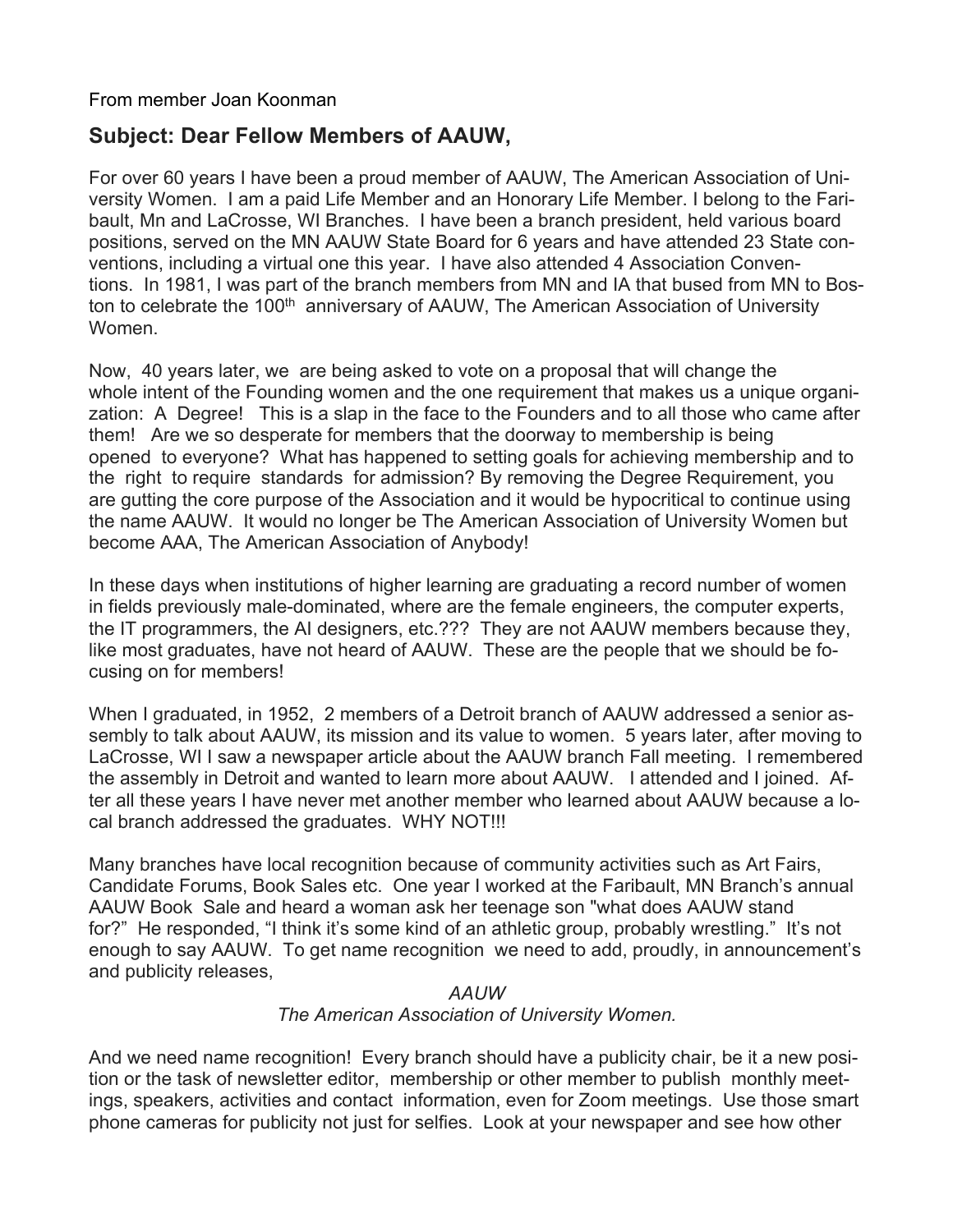From member Joan Koonman

## **Subject: Dear Fellow Members of AAUW,**

For over 60 years I have been a proud member of AAUW, The American Association of University Women. I am a paid Life Member and an Honorary Life Member. I belong to the Faribault, Mn and LaCrosse, WI Branches. I have been a branch president, held various board positions, served on the MN AAUW State Board for 6 years and have attended 23 State conventions, including a virtual one this year. I have also attended 4 Association Conventions. In 1981, I was part of the branch members from MN and IA that bused from MN to Boston to celebrate the 100<sup>th</sup> anniversary of AAUW, The American Association of University Women.

Now, 40 years later, we are being asked to vote on a proposal that will change the whole intent of the Founding women and the one requirement that makes us a unique organization: A Degree! This is a slap in the face to the Founders and to all those who came after them! Are we so desperate for members that the doorway to membership is being opened to everyone? What has happened to setting goals for achieving membership and to the right to require standards for admission? By removing the Degree Requirement, you are gutting the core purpose of the Association and it would be hypocritical to continue using the name AAUW. It would no longer be The American Association of University Women but become AAA, The American Association of Anybody!

In these days when institutions of higher learning are graduating a record number of women in fields previously male-dominated, where are the female engineers, the computer experts, the IT programmers, the AI designers, etc.??? They are not AAUW members because they, like most graduates, have not heard of AAUW. These are the people that we should be focusing on for members!

When I graduated, in 1952, 2 members of a Detroit branch of AAUW addressed a senior assembly to talk about AAUW, its mission and its value to women. 5 years later, after moving to LaCrosse, WI I saw a newspaper article about the AAUW branch Fall meeting. I remembered the assembly in Detroit and wanted to learn more about AAUW. I attended and I joined. After all these years I have never met another member who learned about AAUW because a local branch addressed the graduates. WHY NOT!!!

Many branches have local recognition because of community activities such as Art Fairs, Candidate Forums, Book Sales etc. One year I worked at the Faribault, MN Branch's annual AAUW Book Sale and heard a woman ask her teenage son "what does AAUW stand for?" He responded, "I think it's some kind of an athletic group, probably wrestling." It's not enough to say AAUW. To get name recognition we need to add, proudly, in announcement's and publicity releases,

#### *AAUW*

#### *The American Association of University Women.*

And we need name recognition! Every branch should have a publicity chair, be it a new position or the task of newsletter editor, membership or other member to publish monthly meetings, speakers, activities and contact information, even for Zoom meetings. Use those smart phone cameras for publicity not just for selfies. Look at your newspaper and see how other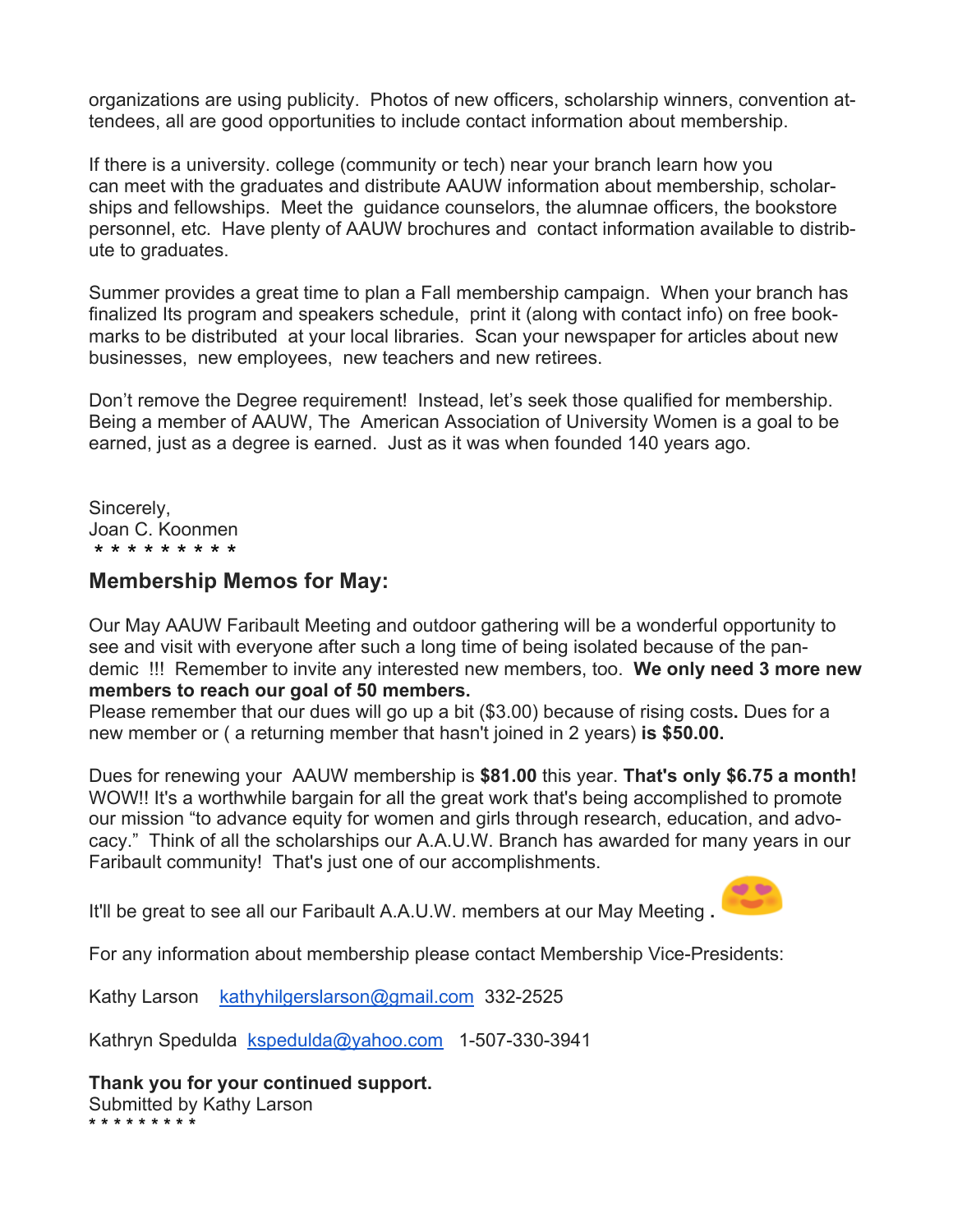organizations are using publicity. Photos of new officers, scholarship winners, convention attendees, all are good opportunities to include contact information about membership.

If there is a university. college (community or tech) near your branch learn how you can meet with the graduates and distribute AAUW information about membership, scholarships and fellowships. Meet the guidance counselors, the alumnae officers, the bookstore personnel, etc. Have plenty of AAUW brochures and contact information available to distribute to graduates.

Summer provides a great time to plan a Fall membership campaign. When your branch has finalized Its program and speakers schedule, print it (along with contact info) on free bookmarks to be distributed at your local libraries. Scan your newspaper for articles about new businesses, new employees, new teachers and new retirees.

Don't remove the Degree requirement! Instead, let's seek those qualified for membership. Being a member of AAUW, The American Association of University Women is a goal to be earned, just as a degree is earned. Just as it was when founded 140 years ago.

Sincerely, Joan C. Koonmen \* \* \* \* \* \* \* \* \*

### **Membership Memos for May:**

Our May AAUW Faribault Meeting and outdoor gathering will be a wonderful opportunity to see and visit with everyone after such a long time of being isolated because of the pandemic !!! Remember to invite any interested new members, too. **We only need 3 more new members to reach our goal of 50 members.**

Please remember that our dues will go up a bit (\$3.00) because of rising costs**.** Dues for a new member or ( a returning member that hasn't joined in 2 years) **is \$50.00.**

Dues for renewing your AAUW membership is **\$81.00** this year. **That's only \$6.75 a month!** WOW!! It's a worthwhile bargain for all the great work that's being accomplished to promote our mission "to advance equity for women and girls through research, education, and advocacy." Think of all the scholarships our A.A.U.W. Branch has awarded for many years in our Faribault community! That's just one of our accomplishments.

It'll be great to see all our Faribault A.A.U.W. members at our May Meeting **.**



For any information about membership please contact Membership Vice-Presidents:

Kathy Larson kathyhilgerslarson@gmail.com 332-2525

Kathryn Spedulda kspedulda@yahoo.com 1-507-330-3941

**Thank you for your continued support.** Submitted by Kathy Larson \* \* \* \* \* \* \* \* \*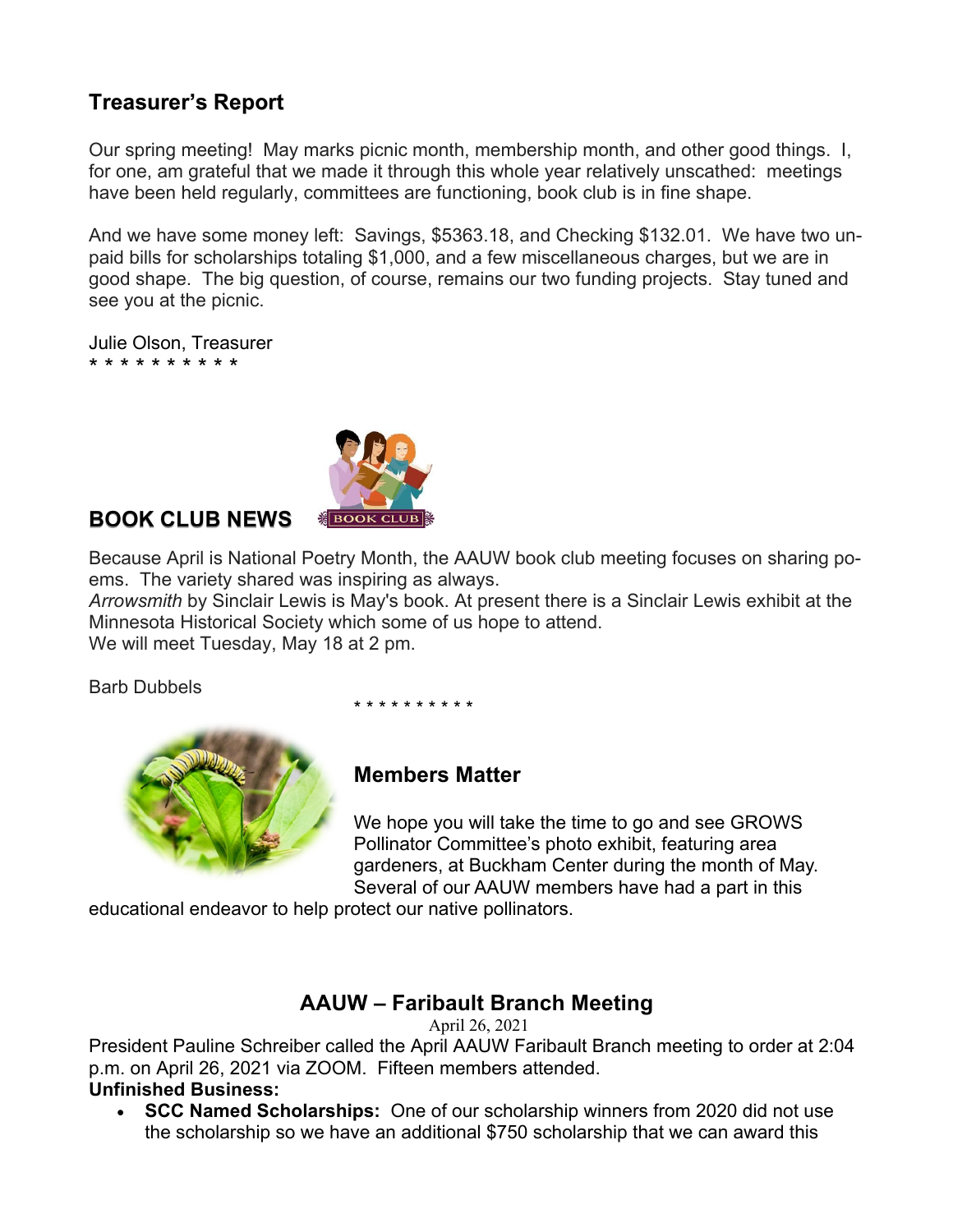# **Treasurer's Report**

Our spring meeting! May marks picnic month, membership month, and other good things. I, for one, am grateful that we made it through this whole year relatively unscathed: meetings have been held regularly, committees are functioning, book club is in fine shape.

And we have some money left: Savings, \$5363.18, and Checking \$132.01. We have two unpaid bills for scholarships totaling \$1,000, and a few miscellaneous charges, but we are in good shape. The big question, of course, remains our two funding projects. Stay tuned and see you at the picnic.

Julie Olson, Treasurer \* \* \* \* \* \* \* \* \* \*



## **BOOK CLUB NEWS**

Because April is National Poetry Month, the AAUW book club meeting focuses on sharing poems. The variety shared was inspiring as always.

*Arrowsmith* by Sinclair Lewis is May's book. At present there is a Sinclair Lewis exhibit at the Minnesota Historical Society which some of us hope to attend. We will meet Tuesday, May 18 at 2 pm.

Barb Dubbels

\* \* \* \* \* \* \* \* \* \*



## **Members Matter**

We hope you will take the time to go and see GROWS Pollinator Committee's photo exhibit, featuring area gardeners, at Buckham Center during the month of May. Several of our AAUW members have had a part in this

educational endeavor to help protect our native pollinators.

## **AAUW – Faribault Branch Meeting**

April 26, 2021

President Pauline Schreiber called the April AAUW Faribault Branch meeting to order at 2:04 p.m. on April 26, 2021 via ZOOM. Fifteen members attended.

### **Unfinished Business:**

• **SCC Named Scholarships:** One of our scholarship winners from 2020 did not use the scholarship so we have an additional \$750 scholarship that we can award this